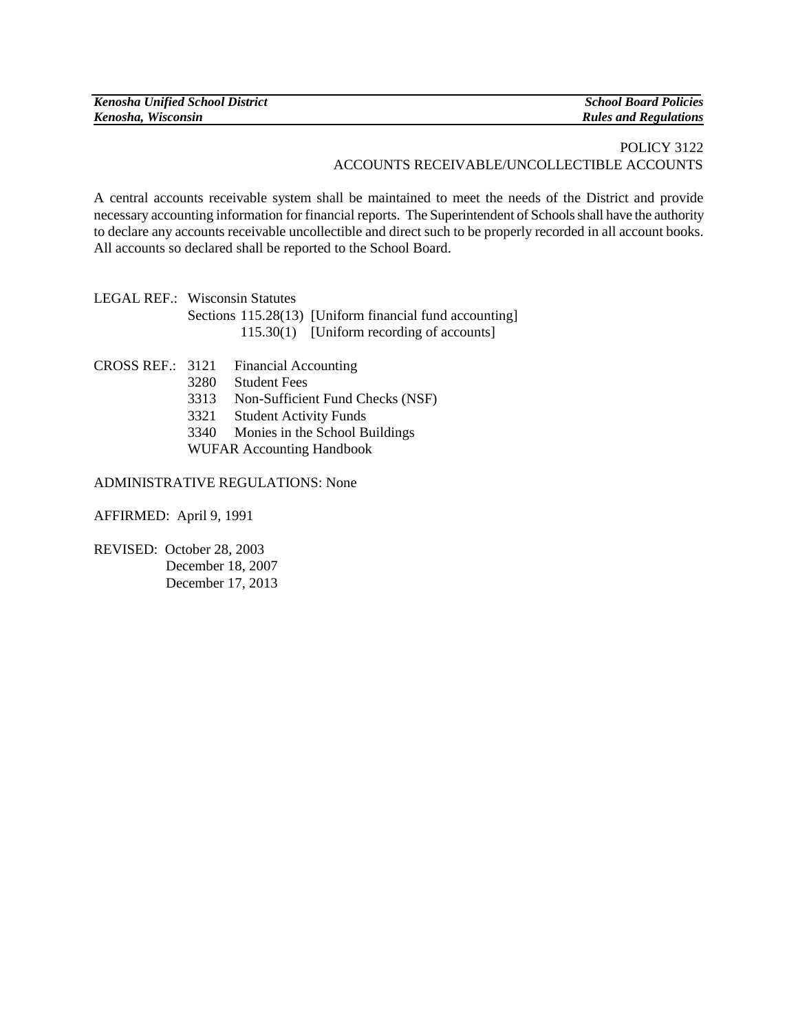| <b>Kenosha Unified School District</b> | <b>School Board Policies</b> |
|----------------------------------------|------------------------------|
| Kenosha, Wisconsin                     | <b>Rules and Regulations</b> |

## POLICY 3122 ACCOUNTS RECEIVABLE/UNCOLLECTIBLE ACCOUNTS

A central accounts receivable system shall be maintained to meet the needs of the District and provide necessary accounting information for financial reports. The Superintendent of Schools shall have the authority to declare any accounts receivable uncollectible and direct such to be properly recorded in all account books. All accounts so declared shall be reported to the School Board.

LEGAL REF.: Wisconsin Statutes Sections 115.28(13) [Uniform financial fund accounting] 115.30(1) [Uniform recording of accounts]

- CROSS REF.: 3121 Financial Accounting
	- 3280 Student Fees
	- 3313 Non-Sufficient Fund Checks (NSF)
	- 3321 Student Activity Funds
	- 3340 Monies in the School Buildings
	- WUFAR Accounting Handbook

## ADMINISTRATIVE REGULATIONS: None

AFFIRMED: April 9, 1991

REVISED: October 28, 2003 December 18, 2007 December 17, 2013